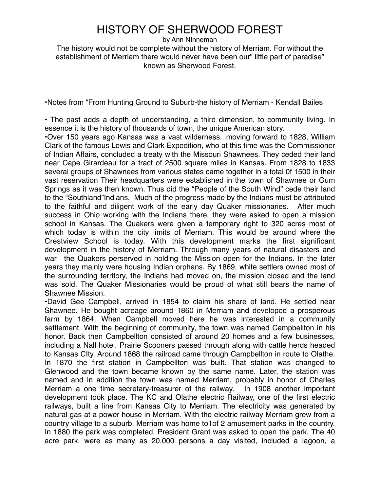## HISTORY OF SHERWOOD FOREST

by Ann NInneman

The history would not be complete without the history of Merriam. For without the establishment of Merriam there would never have been our" little part of paradise" known as Sherwood Forest.

•Notes from "From Hunting Ground to Suburb-the history of Merriam - Kendall Bailes

• The past adds a depth of understanding, a third dimension, to community living. In essence it is the history of thousands of town, the unique American story.

•Over 150 years ago Kansas was a vast wilderness...moving forward to 1828, William Clark of the famous Lewis and Clark Expedition, who at this time was the Commissioner of Indian Affairs, concluded a treaty with the Missouri Shawnees. They ceded their land near Cape Girardeau for a tract of 2500 square miles in Kansas. From 1828 to 1833 several groups of Shawnees from various states came together in a total 0f 1500 in their vast reservation Their headquarters were established in the town of Shawnee or Gum Springs as it was then known. Thus did the "People of the South Wind" cede their land to the "Southland"Indians. Much of the progress made by the Indians must be attributed to the faithful and diligent work of the early day Quaker missionaries. After much success in Ohio working with the Indians there, they were asked to open a mission school in Kansas. The Quakers were given a temporary right to 320 acres most of which today is within the city limits of Merriam. This would be around where the Crestview School is today. With this development marks the first significant development in the history of Merriam. Through many years of natural disasters and war the Quakers perserved in holding the Mission open for the Indians. In the later years they mainly were housing Indian orphans. By 1869, white settlers owned most of the surrounding territory, the Indians had moved on, the mission closed and the land was sold. The Quaker Missionaries would be proud of what still bears the name of Shawnee Mission.

•David Gee Campbell, arrived in 1854 to claim his share of land. He settled near Shawnee. He bought acreage around 1860 in Merriam and developed a prosperous farm by 1864. When Campbell moved here he was interested in a community settlement. With the beginning of community, the town was named Campbellton in his honor. Back then Campbellton consisted of around 20 homes and a few businesses, including a Nall hotel. Prairie Scooners passed through along with cattle herds headed to Kansas CIty. Around 1868 the railroad came through Campbellton in route to Olathe. In 1870 the first station in Campbellton was built. That station was changed to Glenwood and the town became known by the same name. Later, the station was named and in addition the town was named Merriam, probably in honor of Charles Merriam a one time secretary-treasurer of the railway. In 1908 another important development took place. The KC and Olathe electric Railway, one of the first electric railways, built a line from Kansas City to Merriam. The electricity was generated by natural gas at a power house in Merriam. With the electric railway Merriam grew from a country village to a suburb. Merriam was home to1of 2 amusement parks in the country. In 1880 the park was completed. President Grant was asked to open the park. The 40 acre park, were as many as 20,000 persons a day visited, included a lagoon, a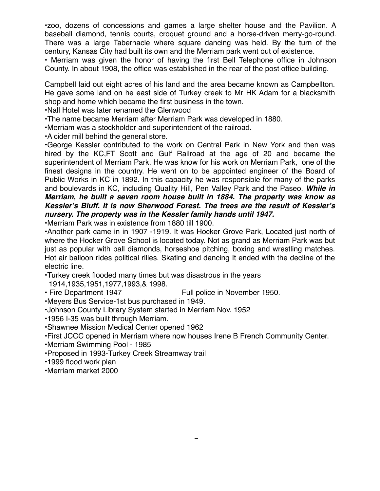•zoo, dozens or concessions and games a large sheller nouse and the Pavillon. A<br>baseball diamond, tennis courts, croquet ground and a horse-driven merry-go-round. There was a large Tabernacle where square dancing was held. By the turn of the The term is a large variance with the equation and the merriam. For without the complete without the contract of  $\epsilon$  contract of existence. •zoo, dozens of concessions and games a large shelter house and the Pavilion. A

• Merriam was given the honor of having the first Bell Telephone office in Johnson known as Sherwood Forest. County. In about 1908, the office was established in the rear of the post office building.

Campbell laid out eight acres of his land and the area became known as Campbellton. He gave some land on he east side of Turkey creek to Mr HK Adam for a blacksmith shop and home which became the first business in the town.

•Nall Hotel was later renamed the Glenwood

•The name became Merriam after Merriam Park was developed in 1880.

•Merriam was a stockholder and superintendent of the railroad.

•A cider mill behind the general store.

•George Kessler contributed to the work on Central Park in New York and then was hired by the KC,FT Scott and Gulf Railroad at the age of 20 and became the superintendent of Merriam Park. He was know for his work on Merriam Park, one of the finest designs in the country. He went on to be appointed engineer of the Board of Public Works in KC in 1892. In this capacity he was responsible for many of the parks and boulevards in KC, including Quality Hill, Pen Valley Park and the Paseo. *While in Merriam, he built a seven room house built in 1884. The property was know as Kessler***'***s Bluff. It is now Sherwood Forest. The trees are the result of Kessler***'***s nursery. The property was in the Kessler family hands until 1947.*

•Merriam Park was in existence from 1880 till 1900.

•Another park came in in 1907 -1919. It was Hocker Grove Park, Located just north of where the Hocker Grove School is located today. Not as grand as Merriam Park was but just as popular with ball diamonds, horseshoe pitching, boxing and wrestling matches. Hot air balloon rides political rllies. Skating and dancing It ended with the decline of the electric line.

•Turkey creek flooded many times but was disastrous in the years

1914,1935,1951,1977,1993,& 1998.

• Fire Department 1947 Full police in November 1950.

•Meyers Bus Service-1st bus purchased in 1949.

•Johnson County Library System started in Merriam Nov. 1952

•1956 I-35 was built through Merriam.

•Shawnee Mission Medical Center opened 1962

•First JCCC opened in Merriam where now houses Irene B French Community Center.

•Merriam Swimming Pool - 1985

•Proposed in 1993-Turkey Creek Streamway trail

•1999 flood work plan

•Merriam market 2000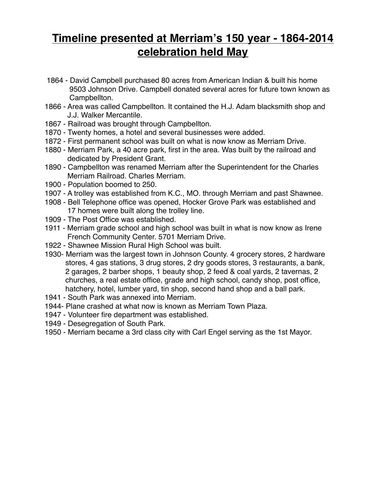### HISTORY OF SHERWOOD FOREST by Ann NInneman **Timeline presented at Merriam's 150 year - 1864-2014** The history would not be complete with the history with  $\mathbf{h}_{\mathbf{a}}$ **celebration held May celebration**

- 1864 David Campbell purchased 80 acres from American Indian & built his home 9503 Johnson Drive. Campbell donated several acres for future town known as Campbellton.
- 1866 Area was called Campbellton. It contained the H.J. Adam blacksmith shop and J.J. Walker Mercantile.
- 1867 Railroad was brought through Campbellton.
- 1870 Twenty homes, a hotel and several businesses were added.
- 1872 First permanent school was built on what is now know as Merriam Drive.
- 1880 Merriam Park, a 40 acre park, first in the area. Was built by the railroad and dedicated by President Grant.
- 1890 Campbellton was renamed Merriam after the Superintendent for the Charles Merriam Railroad. Charles Merriam.
- 1900 Population boomed to 250.
- 1907 A trolley was established from K.C., MO. through Merriam and past Shawnee.
- 1908 Bell Telephone office was opened, Hocker Grove Park was established and 17 homes were built along the trolley line.
- 1909 The Post Office was established.
- 1911 Merriam grade school and high school was built in what is now know as Irene French Community Center. 5701 Merriam Drive.
- 1922 Shawnee Mission Rural High School was built.
- 1930- Merriam was the largest town in Johnson County. 4 grocery stores, 2 hardware stores, 4 gas stations, 3 drug stores, 2 dry goods stores, 3 restaurants, a bank, 2 garages, 2 barber shops, 1 beauty shop, 2 feed & coal yards, 2 tavernas, 2 churches, a real estate office, grade and high school, candy shop, post office, hatchery, hotel, lumber yard, tin shop, second hand shop and a ball park.
- 1941 South Park was annexed into Merriam.
- 1944- Plane crashed at what now is known as Merriam Town Plaza.
- 1947 Volunteer fire department was established.
- 1949 Desegregation of South Park.
- 1950 Merriam became a 3rd class city with Carl Engel serving as the 1st Mayor.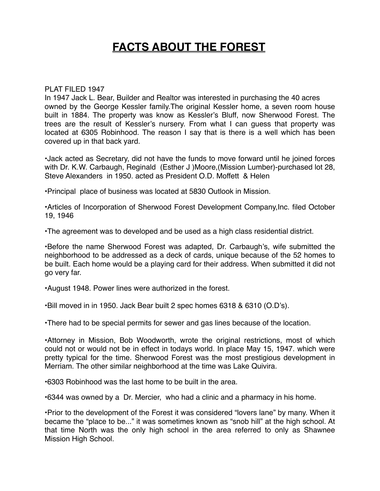#### $\overline{\phantom{a}}$  and  $\overline{\phantom{a}}$  and  $\overline{\phantom{a}}$ **FACTS ABOUT THE FOREST**

#### PLAT FILED 1947

In 1947 Jack L. Bear, Builder and Realtor was interested in purchasing the 40 acres owned by the George Kessler family.The original Kessler home, a seven room house built in 1884. The property was know as Kessler's Bluff, now Sherwood Forest. The trees are the result of Kessler's nursery. From what I can guess that property was located at 6305 Robinhood. The reason I say that is there is a well which has been covered up in that back yard.

•Jack acted as Secretary, did not have the funds to move forward until he joined forces with Dr. K.W. Carbaugh, Reginald (Esther J)Moore, (Mission Lumber)-purchased lot 28, Steve Alexanders in 1950. acted as President O.D. Moffett & Helen

•Principal place of business was located at 5830 Outlook in Mission.

•Articles of Incorporation of Sherwood Forest Development Company,Inc. filed October 19, 1946

•The agreement was to developed and be used as a high class residential district.

•Before the name Sherwood Forest was adapted, Dr. Carbaugh's, wife submitted the neighborhood to be addressed as a deck of cards, unique because of the 52 homes to be built. Each home would be a playing card for their address. When submitted it did not go very far.

•August 1948. Power lines were authorized in the forest.

•Bill moved in in 1950. Jack Bear built 2 spec homes 6318 & 6310 (O.D's).

•There had to be special permits for sewer and gas lines because of the location.

•Attorney in Mission, Bob Woodworth, wrote the original restrictions, most of which could not or would not be in effect in todays world. In place May 15, 1947. which were pretty typical for the time. Sherwood Forest was the most prestigious development in Merriam. The other similar neighborhood at the time was Lake Quivira.

•6303 Robinhood was the last home to be built in the area.

•6344 was owned by a Dr. Mercier, who had a clinic and a pharmacy in his home.

•Prior to the development of the Forest it was considered "lovers lane" by many. When it became the "place to be..." it was sometimes known as "snob hill" at the high school. At that time North was the only high school in the area referred to only as Shawnee Mission High School.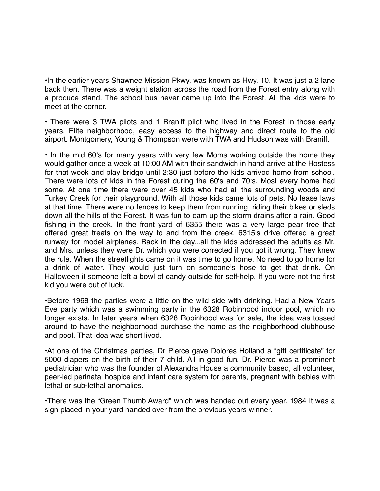•In the earlier years Shawnee Mission Pkwy. was known as Hwy. 10. It was just a 2 lane back then. There was a weight station across the road from the Forest entry along with a produce stand. The school bus never came up into the Forest. All the kids were to meet at the corner.

• There were 3 TWA pilots and 1 Braniff pilot who lived in the Forest in those early years. Elite neighborhood, easy access to the highway and direct route to the old airport. Montgomery, Young & Thompson were with TWA and Hudson was with Braniff.

• In the mid 60ʻs for many years with very few Moms working outside the home they would gather once a week at 10:00 AM with their sandwich in hand arrive at the Hostess for that week and play bridge until 2:30 just before the kids arrived home from school. There were lots of kids in the Forest during the 60ʻs and 70ʻs. Most every home had some. At one time there were over 45 kids who had all the surrounding woods and Turkey Creek for their playground. With all those kids came lots of pets. No lease laws at that time. There were no fences to keep them from running, riding their bikes or sleds down all the hills of the Forest. It was fun to dam up the storm drains after a rain. Good fishing in the creek. In the front yard of 6355 there was a very large pear tree that offered great treats on the way to and from the creek. 6315ʻs drive offered a great runway for model airplanes. Back in the day...all the kids addressed the adults as Mr. and Mrs. unless they were Dr. which you were corrected if you got it wrong. They knew the rule. When the streetlights came on it was time to go home. No need to go home for a drink of water. They would just turn on someone's hose to get that drink. On Halloween if someone left a bowl of candy outside for self-help. If you were not the first kid you were out of luck.

•Before 1968 the parties were a little on the wild side with drinking. Had a New Years Eve party which was a swimming party in the 6328 Robinhood indoor pool, which no longer exists. In later years when 6328 Robinhood was for sale, the idea was tossed around to have the neighborhood purchase the home as the neighborhood clubhouse and pool. That idea was short lived.

•At one of the Christmas parties, Dr Pierce gave Dolores Holland a "gift certificate" for 5000 diapers on the birth of their 7 child. All in good fun. Dr. Pierce was a prominent pediatrician who was the founder of Alexandra House a community based, all volunteer, peer-led perinatal hospice and infant care system for parents, pregnant with babies with lethal or sub-lethal anomalies.

•There was the "Green Thumb Award" which was handed out every year. 1984 It was a sign placed in your yard handed over from the previous years winner.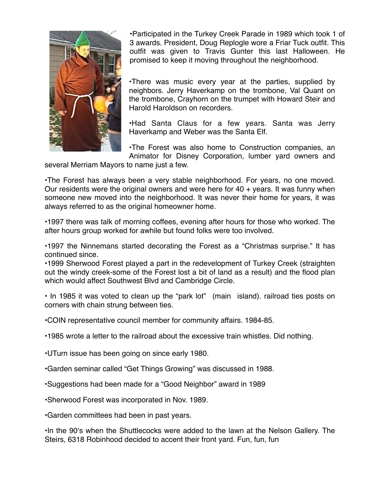

• Participated in the Turkey Creek Parade in 1989 which took 1 of 3 awards. President, Doug Replogle wore a Friar Tuck outfit. This outfit was given to Travis Gunter this last Halloween. He  $\mathbb{R}$  and  $\mathbb{R}$  is a merriam there we have been  $\mathbb{R}$  is  $\mathbb{R}$  and  $\mathbb{R}$  aromised to keen it moving throughout the peighborhood known as Sherp Franching Forest. promised to keep it moving throughout the neighborhood.

> •There was music every year at the parties, supplied by neighbors. Jerry Haverkamp on the trombone, Val Quant on the trombone, Crayhorn on the trumpet with Howard Steir and Harold Haroldson on recorders.

> •Had Santa Claus for a few years. Santa was Jerry Haverkamp and Weber was the Santa Elf.

> •The Forest was also home to Construction companies, an Animator for Disney Corporation, lumber yard owners and

several Merriam Mayors to name just a few.

•The Forest has always been a very stable neighborhood. For years, no one moved. Our residents were the original owners and were here for  $40 + \gamma$  years. It was funny when someone new moved into the neighborhood. It was never their home for years, it was always referred to as the original homeowner home.

•1997 there was talk of morning coffees, evening after hours for those who worked. The after hours group worked for awhile but found folks were too involved.

•1997 the Ninnemans started decorating the Forest as a "Christmas surprise." It has continued since.

•1999 Sherwood Forest played a part in the redevelopment of Turkey Creek (straighten out the windy creek-some of the Forest lost a bit of land as a result) and the flood plan which would affect Southwest Blvd and Cambridge Circle.

• In 1985 it was voted to clean up the "park lot" (main island). railroad ties posts on corners with chain strung between ties.

•COIN representative council member for community affairs. 1984-85.

•1985 wrote a letter to the railroad about the excessive train whistles. Did nothing.

•UTurn issue has been going on since early 1980.

•Garden seminar called "Get Things Growing" was discussed in 1988.

•Suggestions had been made for a "Good Neighbor" award in 1989

•Sherwood Forest was incorporated in Nov. 1989.

•Garden committees had been in past years.

•In the 90ʻs when the Shuttlecocks were added to the lawn at the Nelson Gallery. The Steirs, 6318 Robinhood decided to accent their front yard. Fun, fun, fun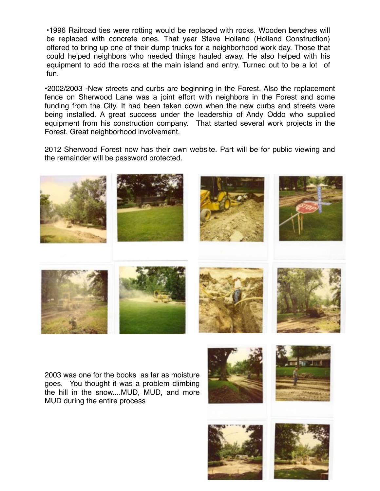·1996 Railroad ties were rotting would be replaced with rocks. Wooden benches will be replaced with concrete ones. That year Steve Holland (Holland Construction) offered to bring up one of their dump trucks for a neighborhood work day. Those that could helped neighbors who needed things hauled away. He also helped with his equipment to add the rocks at the main island and entry. Turned out to be a lot of fun.

•2002/2003 -New streets and curbs are beginning in the Forest. Also the replacement fence on Sherwood Lane was a joint effort with neighbors in the Forest and some funding from the City. It had been taken down when the new curbs and streets were being installed. A great success under the leadership of Andy Oddo who supplied equipment from his construction company. That started several work projects in the Forest. Great neighborhood involvement.

2012 Sherwood Forest now has their own website. Part will be for public viewing and the remainder will be password protected.



2003 was one for the books as far as moisture goes. You thought it was a problem climbing the hill in the snow....MUD, MUD, and more MUD during the entire process





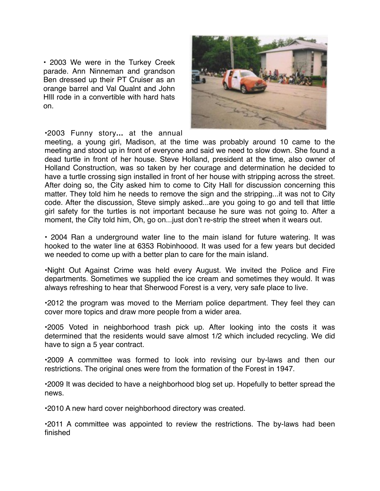• 2003 We were in the Turkey Creek. • 2003 We were in the Turkey Creek. parade. Ann Ninneman and grandson Ben dressed up their PT Cruiser as an orange barrel and Val Qualnt and John HIll rode in a convertible with hard hats on.



•2003 Funny story**...** at the annual

meeting, a young girl, Madison, at the time was probably around 10 came to the meeting and stood up in front of everyone and said we need to slow down. She found a dead turtle in front of her house. Steve Holland, president at the time, also owner of Holland Construction, was so taken by her courage and determination he decided to have a turtle crossing sign installed in front of her house with stripping across the street. After doing so, the City asked him to come to City Hall for discussion concerning this matter. They told him he needs to remove the sign and the stripping...it was not to City code. After the discussion, Steve simply asked...are you going to go and tell that little girl safety for the turtles is not important because he sure was not going to. After a moment, the City told him, Oh, go on...just don't re-strip the street when it wears out.

• 2004 Ran a underground water line to the main island for future watering. It was hooked to the water line at 6353 Robinhoood. It was used for a few years but decided we needed to come up with a better plan to care for the main island.

•Night Out Against Crime was held every August. We invited the Police and Fire departments. Sometimes we supplied the ice cream and sometimes they would. It was always refreshing to hear that Sherwood Forest is a very, very safe place to live.

•2012 the program was moved to the Merriam police department. They feel they can cover more topics and draw more people from a wider area.

•2005 Voted in neighborhood trash pick up. After looking into the costs it was determined that the residents would save almost 1/2 which included recycling. We did have to sign a 5 year contract.

•2009 A committee was formed to look into revising our by-laws and then our restrictions. The original ones were from the formation of the Forest in 1947.

•2009 It was decided to have a neighborhood blog set up. Hopefully to better spread the news.

•2010 A new hard cover neighborhood directory was created.

•2011 A committee was appointed to review the restrictions. The by-laws had been finished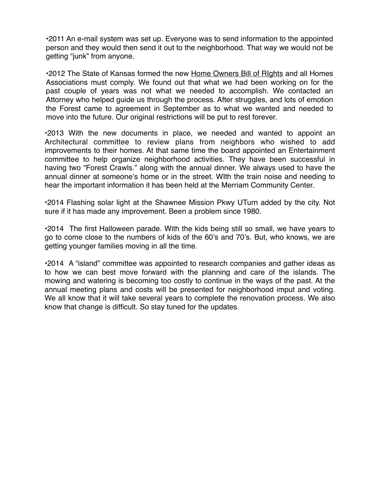HISTORY OF SHERWOOD FOREST •2011 An e-mail system was set up. Everyone was to send information to the appointed person and they would then send it out to the neighborhood. That way we would not be getting "junk" from anyone. There were have been our there are never have been our part of part of part of par

•2012 The State of Kansas formed the new Home Owners Bill of Rights and all Homes Associations must comply. We found out that what we had been working on for the past couple of years was not what we needed to accomplish. We contacted an Attorney who helped guide us through the process. After struggles, and lots of emotion the Forest came to agreement in September as to what we wanted and needed to move into the future. Our original restrictions will be put to rest forever.

•2013 With the new documents in place, we needed and wanted to appoint an Architectural committee to review plans from neighbors who wished to add improvements to their homes. At that same time the board appointed an Entertainment committee to help organize neighborhood activities. They have been successful in having two "Forest Crawls." along with the annual dinner. We always used to have the annual dinner at someone's home or in the street. WIth the train noise and needing to hear the important information it has been held at the Merriam Community Center.

•2014 Flashing solar light at the Shawnee Mission Pkwy UTurn added by the city. Not sure if it has made any improvement. Been a problem since 1980.

•2014 The first Halloween parade. With the kids being still so small, we have years to go to come close to the numbers of kids of the 60's and 70's. But, who knows, we are getting younger families moving in all the time.

•2014 A "island" committee was appointed to research companies and gather ideas as to how we can best move forward with the planning and care of the islands. The mowing and watering is becoming too costly to continue in the ways of the past. At the annual meeting plans and costs will be presented for neighborhood imput and voting. We all know that it will take several years to complete the renovation process. We also know that change is difficult. So stay tuned for the updates.